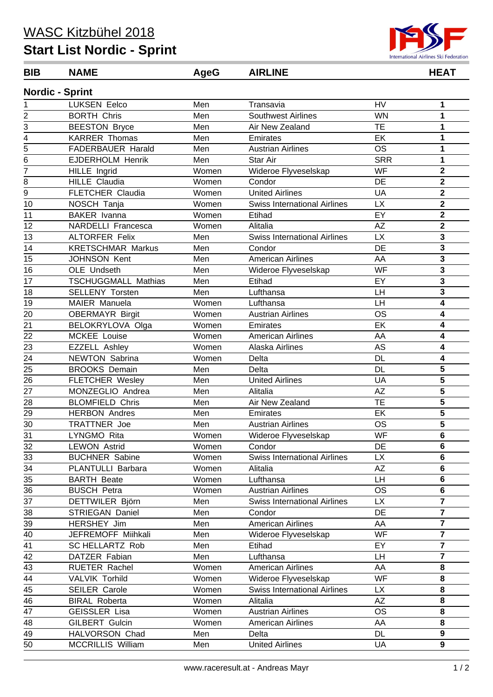## **Start List Nordic - Sprint**



## **Nordic - Sprint BIB NAME AgeG AIRLINE HEAT**

| $\mathbf{1}$    | <b>LUKSEN Eelco</b>        | Men   | Transavia                           | <b>HV</b>       | 1                       |
|-----------------|----------------------------|-------|-------------------------------------|-----------------|-------------------------|
| 2               | <b>BORTH Chris</b>         | Men   | <b>Southwest Airlines</b>           | <b>WN</b>       | $\mathbf{1}$            |
| 3               | <b>BEESTON Bryce</b>       | Men   | Air New Zealand                     | <b>TE</b>       | 1                       |
| 4               | <b>KARRER Thomas</b>       | Men   | Emirates                            | EK              | 1                       |
| 5               | FADERBAUER Harald          | Men   | <b>Austrian Airlines</b>            | <b>OS</b>       | 1                       |
| 6               | <b>EJDERHOLM Henrik</b>    | Men   | Star Air                            | <b>SRR</b>      | 1                       |
| $\overline{7}$  | HILLE Ingrid               | Women | Wideroe Flyveselskap                | <b>WF</b>       | $\mathbf 2$             |
| 8               | <b>HILLE Claudia</b>       | Women | Condor                              | <b>DE</b>       | $\overline{\mathbf{2}}$ |
| 9               | <b>FLETCHER Claudia</b>    | Women | <b>United Airlines</b>              | UA              | $\overline{\mathbf{2}}$ |
| 10              | NOSCH Tanja                | Women | <b>Swiss International Airlines</b> | <b>LX</b>       | $\overline{\mathbf{2}}$ |
| 11              | <b>BAKER</b> Ivanna        | Women | Etihad                              | EY              | $\overline{\mathbf{2}}$ |
| 12              | NARDELLI Francesca         | Women | Alitalia                            | AZ              | $\overline{\mathbf{2}}$ |
| 13              | <b>ALTORFER Felix</b>      | Men   | <b>Swiss International Airlines</b> | <b>LX</b>       | 3                       |
| 14              | <b>KRETSCHMAR Markus</b>   | Men   | Condor                              | DE              | 3                       |
| 15              | <b>JOHNSON Kent</b>        | Men   | <b>American Airlines</b>            | AA              | $\mathbf 3$             |
| 16              | OLE Undseth                | Men   | Wideroe Flyveselskap                | <b>WF</b>       | $\overline{\mathbf{3}}$ |
| 17              | <b>TSCHUGGMALL Mathias</b> | Men   | Etihad                              | EY              | $\mathbf{3}$            |
| 18              | <b>SELLENY Torsten</b>     | Men   | Lufthansa                           | LH              | $\overline{\mathbf{3}}$ |
| 19              | MAIER Manuela              | Women | Lufthansa                           | LH              | 4                       |
| 20              | <b>OBERMAYR Birgit</b>     | Women | <b>Austrian Airlines</b>            | <b>OS</b>       | $\overline{\mathbf{4}}$ |
| 21              | BELOKRYLOVA Olga           | Women | Emirates                            | EK              | 4                       |
| 22              | MCKEE Louise               | Women | <b>American Airlines</b>            | AA              | 4                       |
| 23              | <b>EZZELL Ashley</b>       | Women | Alaska Airlines                     | AS              | 4                       |
| 24              | NEWTON Sabrina             | Women | Delta                               | <b>DL</b>       | 4                       |
| 25              | <b>BROOKS Demain</b>       | Men   | Delta                               | <b>DL</b>       | $\overline{\mathbf{5}}$ |
| 26              | <b>FLETCHER Wesley</b>     | Men   | <b>United Airlines</b>              | UA              | 5                       |
| 27              | MONZEGLIO Andrea           | Men   | Alitalia                            | <b>AΖ</b>       | 5                       |
| 28              | <b>BLOMFIELD Chris</b>     | Men   | Air New Zealand                     | <b>TE</b>       | 5                       |
| 29              | <b>HERBON Andres</b>       | Men   | Emirates                            | EK              | $\overline{5}$          |
| 30              | TRATTNER Joe               | Men   | <b>Austrian Airlines</b>            | <b>OS</b>       | $\overline{\mathbf{5}}$ |
| 31              | LYNGMO Rita                | Women | Wideroe Flyveselskap                | <b>WF</b>       | $\bf 6$                 |
| 32              | <b>LEWON Astrid</b>        | Women | Condor                              | DE              | $\bf 6$                 |
| 33              | <b>BUCHNER Sabine</b>      | Women | <b>Swiss International Airlines</b> | <b>LX</b>       | 6                       |
| 34              | PLANTULLI Barbara          | Women | Alitalia                            | $\overline{AZ}$ | 6                       |
| 35              | <b>BARTH Beate</b>         | Women | Lufthansa                           | <b>LH</b>       | $\bf 6$                 |
| 36              | <b>BUSCH Petra</b>         | Women | <b>Austrian Airlines</b>            | <b>OS</b>       | $\bf 6$                 |
| 37              | DETTWILER Björn            | Men   | <b>Swiss International Airlines</b> | <b>LX</b>       | $\overline{7}$          |
| $\overline{38}$ | STRIEGAN Daniel            | Men   | Condor                              | DE              | $\overline{7}$          |
| 39              | HERSHEY Jim                | Men   | <b>American Airlines</b>            | AA              | $\overline{7}$          |
| 40              | JEFREMOFF Miihkali         | Men   | Wideroe Flyveselskap                | WF              | $\overline{7}$          |
| 41              | <b>SC HELLARTZ Rob</b>     | Men   | Etihad                              | EY              | $\overline{7}$          |
| 42              | DATZER Fabian              | Men   | Lufthansa                           | LH              | $\overline{7}$          |
| 43              | RUETER Rachel              | Women | <b>American Airlines</b>            | AA              | 8                       |
| 44              | <b>VALVIK Torhild</b>      | Women | Wideroe Flyveselskap                | <b>WF</b>       | 8                       |
| 45              | <b>SEILER Carole</b>       | Women | <b>Swiss International Airlines</b> | <b>LX</b>       | 8                       |
| 46              | <b>BIRAL Roberta</b>       | Women | Alitalia                            | AZ              | 8                       |
| $\overline{47}$ | <b>GEISSLER Lisa</b>       | Women | <b>Austrian Airlines</b>            | <b>OS</b>       | 8                       |
| 48              | GILBERT Gulcin             | Women | American Airlines                   | AA              | 8                       |
| 49              | HALVORSON Chad             | Men   | Delta                               | <b>DL</b>       | $\boldsymbol{9}$        |
| 50              | <b>MCCRILLIS William</b>   | Men   | <b>United Airlines</b>              | UA              | $\boldsymbol{9}$        |
|                 |                            |       |                                     |                 |                         |